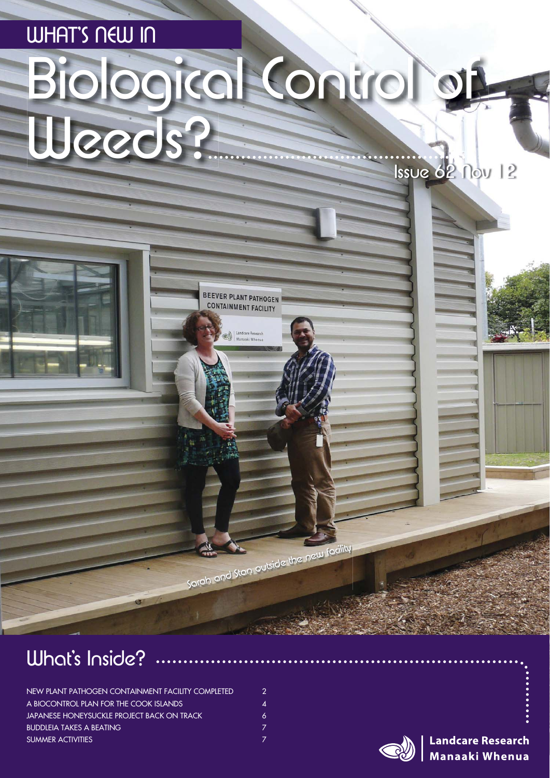# Biological Control of WHAT'S NEW IN Weeds? Issue 62 Nov 12

BEEVER PLANT PATHOGEN **CONTAINMENT FACILITY** 

Manaaki When

Sarah and Stan outside the new facility



| NEW PLANT PATHOGEN CONTAINMENT FACILITY COMPLETED | 2  |
|---------------------------------------------------|----|
| A BIOCONTROL PLAN FOR THE COOK ISLANDS            | 4  |
| JAPANESE HONEYSUCKLE PROJECT BACK ON TRACK        | 6. |
| <b>BUDDLEIA TAKES A BEATING</b>                   |    |
| SUMMER ACTIVITIES                                 |    |

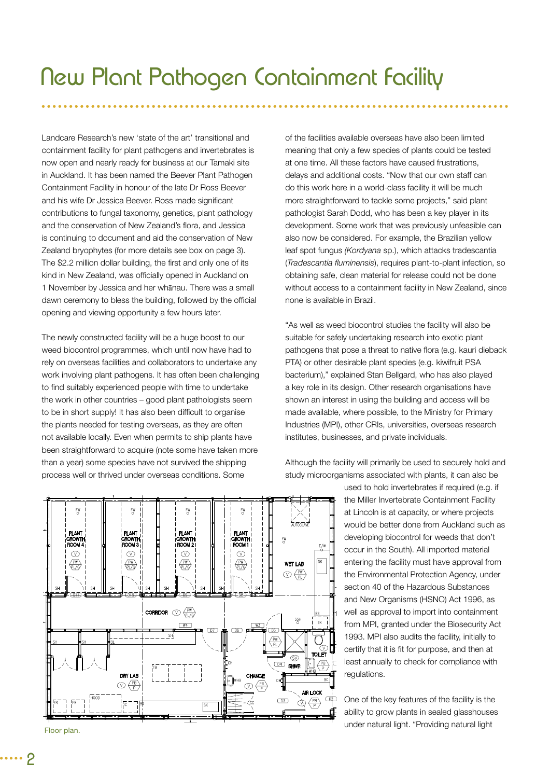Landcare Research's new 'state of the art' transitional and containment facility for plant pathogens and invertebrates is now open and nearly ready for business at our Tamaki site in Auckland. It has been named the Beever Plant Pathogen Containment Facility in honour of the late Dr Ross Beever and his wife Dr Jessica Beever. Ross made significant contributions to fungal taxonomy, genetics, plant pathology and the conservation of New Zealand's flora, and Jessica is continuing to document and aid the conservation of New Zealand bryophytes (for more details see box on page 3). The \$2.2 million dollar building, the first and only one of its kind in New Zealand, was officially opened in Auckland on 1 November by Jessica and her whānau. There was a small dawn ceremony to bless the building, followed by the official opening and viewing opportunity a few hours later.

The newly constructed facility will be a huge boost to our weed biocontrol programmes, which until now have had to rely on overseas facilities and collaborators to undertake any work involving plant pathogens. It has often been challenging to find suitably experienced people with time to undertake the work in other countries – good plant pathologists seem to be in short supply! It has also been difficult to organise the plants needed for testing overseas, as they are often not available locally. Even when permits to ship plants have been straightforward to acquire (note some have taken more than a year) some species have not survived the shipping process well or thrived under overseas conditions. Some

of the facilities available overseas have also been limited meaning that only a few species of plants could be tested at one time. All these factors have caused frustrations, delays and additional costs. "Now that our own staff can do this work here in a world-class facility it will be much more straightforward to tackle some projects," said plant pathologist Sarah Dodd, who has been a key player in its development. Some work that was previously unfeasible can also now be considered. For example, the Brazilian yellow leaf spot fungus *(Kordyana* sp.), which attacks tradescantia (*Tradescantia fluminensis*), requires plant-to-plant infection, so obtaining safe, clean material for release could not be done without access to a containment facility in New Zealand, since none is available in Brazil.

"As well as weed biocontrol studies the facility will also be suitable for safely undertaking research into exotic plant pathogens that pose a threat to native flora (e.g. kauri dieback PTA) or other desirable plant species (e.g. kiwifruit PSA bacterium)," explained Stan Bellgard, who has also played a key role in its design. Other research organisations have shown an interest in using the building and access will be made available, where possible, to the Ministry for Primary Industries (MPI), other CRIs, universities, overseas research institutes, businesses, and private individuals.

Although the facility will primarily be used to securely hold and study microorganisms associated with plants, it can also be

> used to hold invertebrates if required (e.g. if the Miller Invertebrate Containment Facility at Lincoln is at capacity, or where projects would be better done from Auckland such as developing biocontrol for weeds that don't occur in the South). All imported material entering the facility must have approval from the Environmental Protection Agency, under section 40 of the Hazardous Substances and New Organisms (HSNO) Act 1996, as well as approval to import into containment from MPI, granted under the Biosecurity Act 1993. MPI also audits the facility, initially to certify that it is fit for purpose, and then at least annually to check for compliance with regulations.

One of the key features of the facility is the ability to grow plants in sealed glasshouses

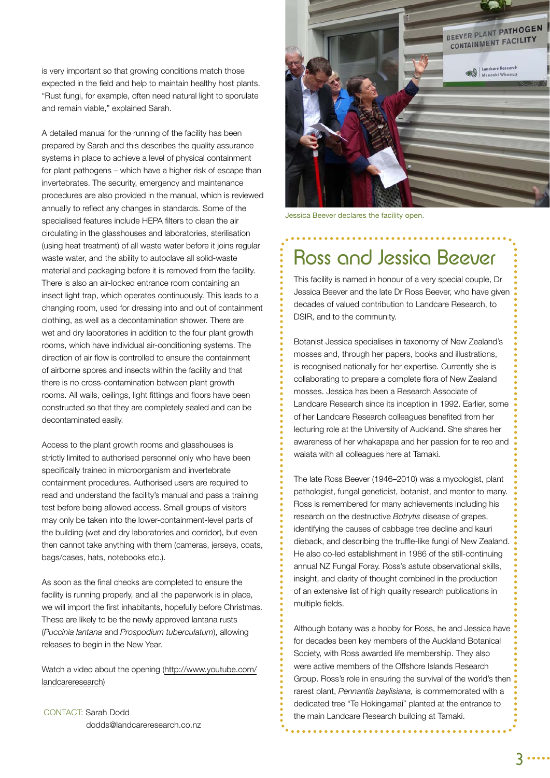is very important so that growing conditions match those expected in the field and help to maintain healthy host plants. "Rust fungi, for example, often need natural light to sporulate and remain viable," explained Sarah.

A detailed manual for the running of the facility has been prepared by Sarah and this describes the quality assurance systems in place to achieve a level of physical containment for plant pathogens – which have a higher risk of escape than invertebrates. The security, emergency and maintenance procedures are also provided in the manual, which is reviewed annually to reflect any changes in standards. Some of the specialised features include HEPA filters to clean the air circulating in the glasshouses and laboratories, sterilisation (using heat treatment) of all waste water before it joins regular waste water, and the ability to autoclave all solid-waste material and packaging before it is removed from the facility. There is also an air-locked entrance room containing an insect light trap, which operates continuously. This leads to a changing room, used for dressing into and out of containment clothing, as well as a decontamination shower. There are wet and dry laboratories in addition to the four plant growth rooms, which have individual air-conditioning systems. The direction of air flow is controlled to ensure the containment of airborne spores and insects within the facility and that there is no cross-contamination between plant growth rooms. All walls, ceilings, light fittings and floors have been constructed so that they are completely sealed and can be decontaminated easily.

Access to the plant growth rooms and glasshouses is strictly limited to authorised personnel only who have been specifically trained in microorganism and invertebrate containment procedures. Authorised users are required to read and understand the facility's manual and pass a training test before being allowed access. Small groups of visitors may only be taken into the lower-containment-level parts of the building (wet and dry laboratories and corridor), but even then cannot take anything with them (cameras, jerseys, coats, bags/cases, hats, notebooks etc.).

As soon as the final checks are completed to ensure the facility is running properly, and all the paperwork is in place, we will import the first inhabitants, hopefully before Christmas. These are likely to be the newly approved lantana rusts (*Puccinia lantana* and *Prospodium tuberculatum*), allowing releases to begin in the New Year.

Watch a video about the opening (http://www.youtube.com/ landcareresearch)

CONTACT: Sarah Dodd dodds@landcareresearch.co.nz



Jessica Beever declares the facility open.

### Ross and Jessica Beever

This facility is named in honour of a very special couple, Dr Jessica Beever and the late Dr Ross Beever, who have given decades of valued contribution to Landcare Research, to DSIR, and to the community.

Botanist Jessica specialises in taxonomy of New Zealand's mosses and, through her papers, books and illustrations, is recognised nationally for her expertise. Currently she is collaborating to prepare a complete flora of New Zealand mosses. Jessica has been a Research Associate of Landcare Research since its inception in 1992. Earlier, some of her Landcare Research colleagues benefited from her lecturing role at the University of Auckland. She shares her awareness of her whakapapa and her passion for te reo and waiata with all colleagues here at Tamaki.

The late Ross Beever (1946–2010) was a mycologist, plant pathologist, fungal geneticist, botanist, and mentor to many. Ross is remembered for many achievements including his research on the destructive *Botrytis* disease of grapes, identifying the causes of cabbage tree decline and kauri dieback, and describing the truffle-like fungi of New Zealand. He also co-led establishment in 1986 of the still-continuing annual NZ Fungal Foray. Ross's astute observational skills, insight, and clarity of thought combined in the production of an extensive list of high quality research publications in multiple fields.

Although botany was a hobby for Ross, he and Jessica have for decades been key members of the Auckland Botanical Society, with Ross awarded life membership. They also were active members of the Offshore Islands Research Group. Ross's role in ensuring the survival of the world's then rarest plant, *Pennantia baylisiana,* is commemorated with a dedicated tree "Te Hokingamai" planted at the entrance to the main Landcare Research building at Tamaki.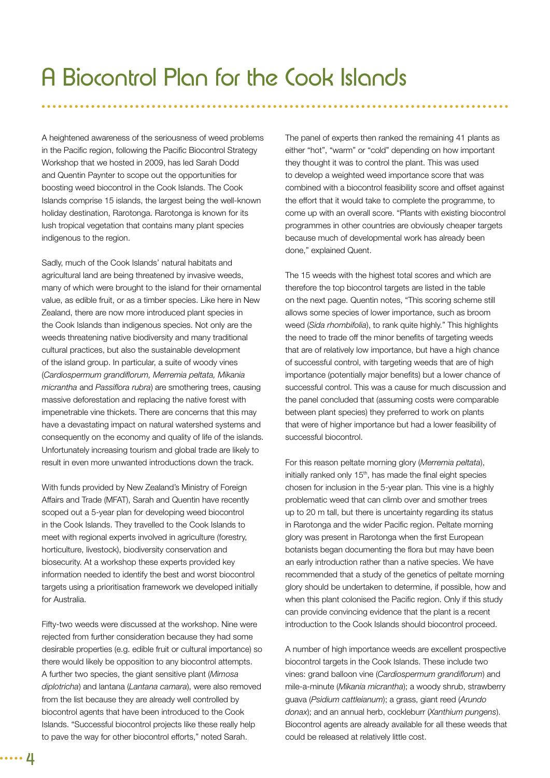A heightened awareness of the seriousness of weed problems in the Pacific region, following the Pacific Biocontrol Strategy Workshop that we hosted in 2009, has led Sarah Dodd and Quentin Paynter to scope out the opportunities for boosting weed biocontrol in the Cook Islands. The Cook Islands comprise 15 islands, the largest being the well-known holiday destination, Rarotonga. Rarotonga is known for its lush tropical vegetation that contains many plant species indigenous to the region.

Sadly, much of the Cook Islands' natural habitats and agricultural land are being threatened by invasive weeds, many of which were brought to the island for their ornamental value, as edible fruit, or as a timber species. Like here in New Zealand, there are now more introduced plant species in the Cook Islands than indigenous species. Not only are the weeds threatening native biodiversity and many traditional cultural practices, but also the sustainable development of the island group. In particular, a suite of woody vines (*Cardiospermum grandifl orum, Merremia peltata, Mikania micrantha and Passiflora rubra*) are smothering trees, causing massive deforestation and replacing the native forest with impenetrable vine thickets. There are concerns that this may have a devastating impact on natural watershed systems and consequently on the economy and quality of life of the islands. Unfortunately increasing tourism and global trade are likely to result in even more unwanted introductions down the track.

With funds provided by New Zealand's Ministry of Foreign Affairs and Trade (MFAT), Sarah and Quentin have recently scoped out a 5-year plan for developing weed biocontrol in the Cook Islands. They travelled to the Cook Islands to meet with regional experts involved in agriculture (forestry, horticulture, livestock), biodiversity conservation and biosecurity. At a workshop these experts provided key information needed to identify the best and worst biocontrol targets using a prioritisation framework we developed initially for Australia.

Fifty-two weeds were discussed at the workshop. Nine were rejected from further consideration because they had some desirable properties (e.g. edible fruit or cultural importance) so there would likely be opposition to any biocontrol attempts. A further two species, the giant sensitive plant (*Mimosa diplotricha*) and lantana (*Lantana camara*), were also removed from the list because they are already well controlled by biocontrol agents that have been introduced to the Cook Islands. "Successful biocontrol projects like these really help to pave the way for other biocontrol efforts," noted Sarah.

The panel of experts then ranked the remaining 41 plants as either "hot", "warm" or "cold" depending on how important they thought it was to control the plant. This was used to develop a weighted weed importance score that was combined with a biocontrol feasibility score and offset against the effort that it would take to complete the programme, to come up with an overall score. "Plants with existing biocontrol programmes in other countries are obviously cheaper targets because much of developmental work has already been done," explained Quent.

The 15 weeds with the highest total scores and which are therefore the top biocontrol targets are listed in the table on the next page. Quentin notes, "This scoring scheme still allows some species of lower importance, such as broom weed (*Sida rhombifolia*), to rank quite highly." This highlights the need to trade off the minor benefits of targeting weeds that are of relatively low importance, but have a high chance of successful control, with targeting weeds that are of high importance (potentially major benefits) but a lower chance of successful control. This was a cause for much discussion and the panel concluded that (assuming costs were comparable between plant species) they preferred to work on plants that were of higher importance but had a lower feasibility of successful biocontrol.

For this reason peltate morning glory (*Merremia peltata*), initially ranked only 15<sup>th</sup>, has made the final eight species chosen for inclusion in the 5-year plan. This vine is a highly problematic weed that can climb over and smother trees up to 20 m tall, but there is uncertainty regarding its status in Rarotonga and the wider Pacific region. Peltate morning glory was present in Rarotonga when the first European botanists began documenting the flora but may have been an early introduction rather than a native species. We have recommended that a study of the genetics of peltate morning glory should be undertaken to determine, if possible, how and when this plant colonised the Pacific region. Only if this study can provide convincing evidence that the plant is a recent introduction to the Cook Islands should biocontrol proceed.

A number of high importance weeds are excellent prospective biocontrol targets in the Cook Islands. These include two vines: grand balloon vine (*Cardiospermum grandiflorum*) and mile-a-minute (*Mikania micrantha*); a woody shrub, strawberry guava (*Psidium cattleianum*); a grass, giant reed (*Arundo donax*); and an annual herb, cockleburr (*Xanthium pungens*). Biocontrol agents are already available for all these weeds that could be released at relatively little cost.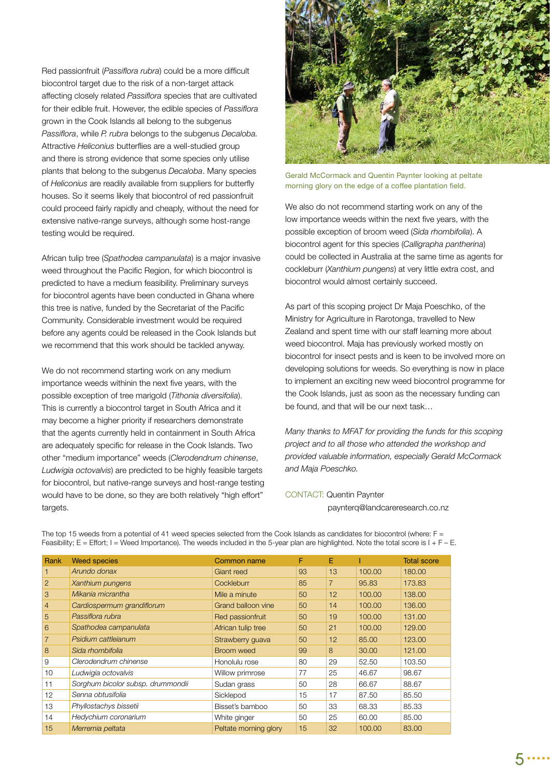Red passionfruit (Passiflora rubra) could be a more difficult biocontrol target due to the risk of a non-target attack affecting closely related Passiflora species that are cultivated for their edible fruit. However, the edible species of Passiflora grown in the Cook Islands all belong to the subgenus *Passiflora, while P. rubra belongs to the subgenus Decaloba.* Attractive *Heliconius* butterflies are a well-studied group and there is strong evidence that some species only utilise plants that belong to the subgenus *Decaloba*. Many species of *Heliconius* are readily available from suppliers for butterfly houses. So it seems likely that biocontrol of red passionfruit could proceed fairly rapidly and cheaply, without the need for extensive native-range surveys, although some host-range testing would be required.

African tulip tree (*Spathodea campanulata*) is a major invasive weed throughout the Pacific Region, for which biocontrol is predicted to have a medium feasibility. Preliminary surveys for biocontrol agents have been conducted in Ghana where this tree is native, funded by the Secretariat of the Pacific Community. Considerable investment would be required before any agents could be released in the Cook Islands but we recommend that this work should be tackled anyway.

We do not recommend starting work on any medium importance weeds withinin the next five years, with the possible exception of tree marigold (*Tithonia diversifolia*). This is currently a biocontrol target in South Africa and it may become a higher priority if researchers demonstrate that the agents currently held in containment in South Africa are adequately specific for release in the Cook Islands. Two other "medium importance" weeds (*Clerodendrum chinense*, *Ludwigia octovalvis*) are predicted to be highly feasible targets for biocontrol, but native-range surveys and host-range testing would have to be done, so they are both relatively "high effort" targets.



Gerald McCormack and Quentin Paynter looking at peltate morning glory on the edge of a coffee plantation field.

We also do not recommend starting work on any of the low importance weeds within the next five years, with the possible exception of broom weed (*Sida rhombifolia*). A biocontrol agent for this species (*Calligrapha pantherina*) could be collected in Australia at the same time as agents for cockleburr (*Xanthium pungens*) at very little extra cost, and biocontrol would almost certainly succeed.

As part of this scoping project Dr Maja Poeschko, of the Ministry for Agriculture in Rarotonga, travelled to New Zealand and spent time with our staff learning more about weed biocontrol. Maja has previously worked mostly on biocontrol for insect pests and is keen to be involved more on developing solutions for weeds. So everything is now in place to implement an exciting new weed biocontrol programme for the Cook Islands, just as soon as the necessary funding can be found, and that will be our next task…

*Many thanks to MFAT for providing the funds for this scoping project and to all those who attended the workshop and provided valuable information, especially Gerald McCormack and Maja Poeschko.* 

#### CONTACT: Quentin Paynter paynterq@landcareresearch.co.nz

Rank Weed species **Common name** F E I Total score *Arundo donax* Giant reed 93 13 100.00 180.00 *Xanthium pungens* Cockleburr 85 7 95.83 173.83 *Mikania micrantha* Mile a minute 50 12 100.00 138.00 *Cardiospermum grandifl orum* Grand balloon vine 50 14 100.00 136.00 *Passifl ora rubra* Red passionfruit 50 19 100.00 131.00 *Spathodea campanulata* African tulip tree 50 21 100.00 129.00 *Psidium cattleianum* Strawberry guava 50 12 85.00 123.00 *Sida rhombifolia* Broom weed 99 8 30.00 121.00 *Clerodendrum chinense* Honolulu rose 80 29 52.50 103.50 *Ludwigia octovalvis* Willow primrose 77 25 46.67 98.67 *Sorghum bicolor subsp. drummondii* Sudan grass 50 28 66.67 88.67 *Senna obtusifolia* **Sicklepod** 15 17 87.50 85.50 *Phyllostachys bissetii* Bisset's bamboo 50 33 68.33 85.33 *Hedychium coronarium* White ginger 50 25 60.00 85.00 *Merremia peltata* Peltate morning glory 15 32 100.00 83.00

The top 15 weeds from a potential of 41 weed species selected from the Cook Islands as candidates for biocontrol (where: F = Feasibility;  $E = E$ ffort; I = Weed Importance). The weeds included in the 5-year plan are highlighted. Note the total score is  $I + F - E$ .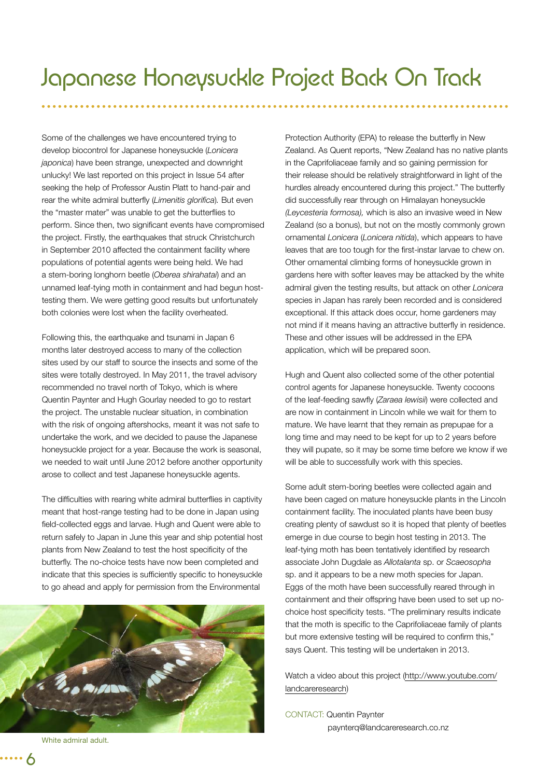Some of the challenges we have encountered trying to develop biocontrol for Japanese honeysuckle (*Lonicera japonica*) have been strange, unexpected and downright unlucky! We last reported on this project in Issue 54 after seeking the help of Professor Austin Platt to hand-pair and rear the white admiral butterfly (*Limenitis glorifica*). But even the "master mater" was unable to get the butterflies to perform. Since then, two significant events have compromised the project. Firstly, the earthquakes that struck Christchurch in September 2010 affected the containment facility where populations of potential agents were being held. We had a stem-boring longhorn beetle (*Oberea shirahatai*) and an unnamed leaf-tying moth in containment and had begun hosttesting them. We were getting good results but unfortunately both colonies were lost when the facility overheated.

Following this, the earthquake and tsunami in Japan 6 months later destroyed access to many of the collection sites used by our staff to source the insects and some of the sites were totally destroyed. In May 2011, the travel advisory recommended no travel north of Tokyo, which is where Quentin Paynter and Hugh Gourlay needed to go to restart the project. The unstable nuclear situation, in combination with the risk of ongoing aftershocks, meant it was not safe to undertake the work, and we decided to pause the Japanese honeysuckle project for a year. Because the work is seasonal, we needed to wait until June 2012 before another opportunity arose to collect and test Japanese honeysuckle agents.

The difficulties with rearing white admiral butterflies in captivity meant that host-range testing had to be done in Japan using field-collected eggs and larvae. Hugh and Quent were able to return safely to Japan in June this year and ship potential host plants from New Zealand to test the host specificity of the butterfly. The no-choice tests have now been completed and indicate that this species is sufficiently specific to honeysuckle to go ahead and apply for permission from the Environmental



White admiral adult.

Protection Authority (EPA) to release the butterfly in New Zealand. As Quent reports, "New Zealand has no native plants in the Caprifoliaceae family and so gaining permission for their release should be relatively straightforward in light of the hurdles already encountered during this project." The butterfly did successfully rear through on Himalayan honeysuckle *(Leycesteria formosa),* which is also an invasive weed in New Zealand (so a bonus), but not on the mostly commonly grown ornamental *Lonicera* (*Lonicera nitida*), which appears to have leaves that are too tough for the first-instar larvae to chew on. Other ornamental climbing forms of honeysuckle grown in gardens here with softer leaves may be attacked by the white admiral given the testing results, but attack on other *Lonicera* species in Japan has rarely been recorded and is considered exceptional. If this attack does occur, home gardeners may not mind if it means having an attractive butterfly in residence. These and other issues will be addressed in the EPA application, which will be prepared soon.

Hugh and Quent also collected some of the other potential control agents for Japanese honeysuckle. Twenty cocoons of the leaf-feeding sawfly (*Zaraea lewisii*) were collected and are now in containment in Lincoln while we wait for them to mature. We have learnt that they remain as prepupae for a long time and may need to be kept for up to 2 years before they will pupate, so it may be some time before we know if we will be able to successfully work with this species.

Some adult stem-boring beetles were collected again and have been caged on mature honeysuckle plants in the Lincoln containment facility. The inoculated plants have been busy creating plenty of sawdust so it is hoped that plenty of beetles emerge in due course to begin host testing in 2013. The leaf-tying moth has been tentatively identified by research associate John Dugdale as *Allotalanta* sp. or *Scaeosopha* sp. and it appears to be a new moth species for Japan. Eggs of the moth have been successfully reared through in containment and their offspring have been used to set up nochoice host specificity tests. "The preliminary results indicate that the moth is specific to the Caprifoliaceae family of plants but more extensive testing will be required to confirm this," says Quent. This testing will be undertaken in 2013.

Watch a video about this project (http://www.youtube.com/ landcareresearch)

CONTACT: Quentin Paynter paynterq@landcareresearch.co.nz

6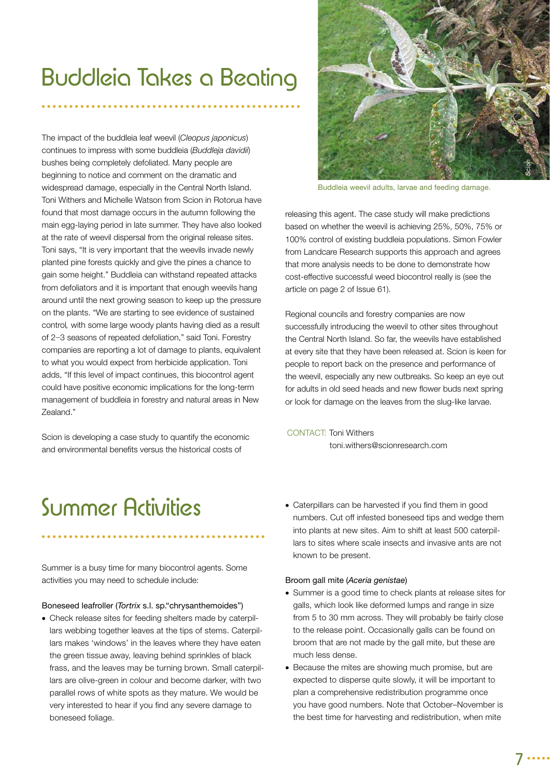## Buddleia Takes a Beating

The impact of the buddleia leaf weevil (*Cleopus japonicus*) continues to impress with some buddleia (*Buddleja davidii*) bushes being completely defoliated. Many people are beginning to notice and comment on the dramatic and widespread damage, especially in the Central North Island. Toni Withers and Michelle Watson from Scion in Rotorua have found that most damage occurs in the autumn following the main egg-laying period in late summer. They have also looked at the rate of weevil dispersal from the original release sites. Toni says, "It is very important that the weevils invade newly planted pine forests quickly and give the pines a chance to gain some height." Buddleia can withstand repeated attacks from defoliators and it is important that enough weevils hang around until the next growing season to keep up the pressure on the plants. "We are starting to see evidence of sustained control*,* with some large woody plants having died as a result of 2−3 seasons of repeated defoliation," said Toni. Forestry companies are reporting a lot of damage to plants, equivalent to what you would expect from herbicide application. Toni adds, "If this level of impact continues, this biocontrol agent could have positive economic implications for the long-term management of buddleia in forestry and natural areas in New Zealand."

Scion is developing a case study to quantify the economic and environmental benefits versus the historical costs of



Buddleia weevil adults, larvae and feeding damage.

releasing this agent. The case study will make predictions based on whether the weevil is achieving 25%, 50%, 75% or 100% control of existing buddleia populations. Simon Fowler from Landcare Research supports this approach and agrees that more analysis needs to be done to demonstrate how cost-effective successful weed biocontrol really is (see the article on page 2 of Issue 61).

Regional councils and forestry companies are now successfully introducing the weevil to other sites throughout the Central North Island. So far, the weevils have established at every site that they have been released at. Scion is keen for people to report back on the presence and performance of the weevil, especially any new outbreaks. So keep an eye out for adults in old seed heads and new flower buds next spring or look for damage on the leaves from the slug-like larvae.

CONTACT: Toni Withers toni.withers@scionresearch.com

### Summer Activities

Summer is a busy time for many biocontrol agents. Some activities you may need to schedule include:

#### Boneseed leafroller (*Tortrix* s.l. sp."chrysanthemoides")

- Check release sites for feeding shelters made by caterpillars webbing together leaves at the tips of stems. Caterpillars makes 'windows' in the leaves where they have eaten the green tissue away, leaving behind sprinkles of black frass, and the leaves may be turning brown. Small caterpillars are olive-green in colour and become darker, with two parallel rows of white spots as they mature. We would be very interested to hear if you find any severe damage to boneseed foliage.
- Caterpillars can be harvested if you find them in good numbers. Cut off infested boneseed tips and wedge them into plants at new sites. Aim to shift at least 500 caterpillars to sites where scale insects and invasive ants are not known to be present.

#### Broom gall mite (*Aceria genistae*)

- Summer is a good time to check plants at release sites for galls, which look like deformed lumps and range in size from 5 to 30 mm across. They will probably be fairly close to the release point. Occasionally galls can be found on broom that are not made by the gall mite, but these are much less dense.
- Because the mites are showing much promise, but are expected to disperse quite slowly, it will be important to plan a comprehensive redistribution programme once you have good numbers. Note that October–November is the best time for harvesting and redistribution, when mite